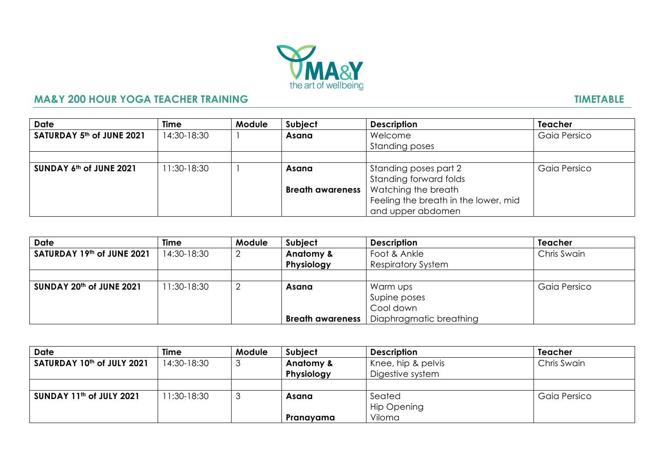

## **MA&Y 200 HOUR YOGA TEACHER TRAINING THE RESERVE TO A SEX PROPERTY RESERVED TIMETABLE**

| <b>Date</b>                                   | Time         | <b>Module</b> | Subject | <b>Description</b>                            | <b>Teacher</b> |
|-----------------------------------------------|--------------|---------------|---------|-----------------------------------------------|----------------|
| $\vert$ SATURDAY 5 <sup>th</sup> of JUNE 2021 | 14:30-18:30  |               | Asana   | Welcome                                       | Gaia Persico   |
|                                               |              |               |         | <b>Standing poses</b>                         |                |
|                                               |              |               |         |                                               |                |
| SUNDAY $6th$ of JUNE 2021                     | $1:30-18:30$ |               | Asana   | Standing poses part 2                         | Gaia Persico   |
|                                               |              |               |         | Standing forward folds                        |                |
|                                               |              |               |         | <b>Breath awareness</b>   Watching the breath |                |
|                                               |              |               |         | Feeling the breath in the lower, mid          |                |
|                                               |              |               |         | and upper abdomen                             |                |

| <b>Date</b>                | Time         | Module | Subject                 | <b>Description</b>        | <b>Teacher</b> |
|----------------------------|--------------|--------|-------------------------|---------------------------|----------------|
| SATURDAY 19th of JUNE 2021 | 14:30-18:30  |        | Anatomy &               | Foot & Ankle              | Chris Swain    |
|                            |              |        | Physiology              | <b>Respiratory System</b> |                |
|                            |              |        |                         |                           |                |
| SUNDAY 20th of JUNE 2021   | $1:30-18:30$ |        | Asana                   | Warm ups                  | Gaia Persico   |
|                            |              |        |                         | Supine poses              |                |
|                            |              |        |                         | Cool down                 |                |
|                            |              |        | <b>Breath awareness</b> | Diaphragmatic breathing   |                |

| <b>Date</b>                | Time         | Module | Subject    | <b>Description</b> | <b>Teacher</b> |
|----------------------------|--------------|--------|------------|--------------------|----------------|
| SATURDAY 10th of JULY 2021 | 14:30-18:30  |        | Anatomy &  | Knee, hip & pelvis | Chris Swain    |
|                            |              |        | Physiology | Digestive system   |                |
|                            |              |        |            |                    |                |
| SUNDAY 11th of JULY 2021   | $1:30-18:30$ |        | Asana      | Seated             | Gaia Persico   |
|                            |              |        |            | Hip Opening        |                |
|                            |              |        | Pranayama  | Viloma             |                |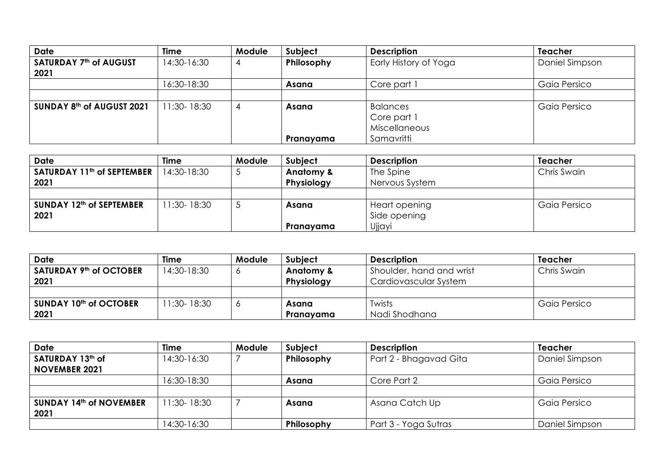| <b>Date</b>                           | <b>Time</b>    | <b>Module</b> | Subject    | <b>Description</b>                                     | <b>Teacher</b> |
|---------------------------------------|----------------|---------------|------------|--------------------------------------------------------|----------------|
| <b>SATURDAY 7th of AUGUST</b><br>2021 | 14:30-16:30    | 4             | Philosophy | Early History of Yoga                                  | Daniel Simpson |
|                                       | 16:30-18:30    |               | Asana      | Core part 1                                            | Gaia Persico   |
|                                       |                |               |            |                                                        |                |
| SUNDAY 8th of AUGUST 2021             | $1:30 - 18:30$ | 4             | Asana      | <b>Balances</b><br>Core part 1<br><b>Miscellaneous</b> | Gaia Persico   |
|                                       |                |               | Pranayama  | Samavritti                                             |                |

| Date                                   | Time           | Module | <b>Subject</b> | <b>Description</b> | <b>Teacher</b> |
|----------------------------------------|----------------|--------|----------------|--------------------|----------------|
| SATURDAY 11 <sup>th</sup> of SEPTEMBER | 14:30-18:30    |        | Anatomy &      | The Spine          | Chris Swain    |
| 2021                                   |                |        | Physiology     | Nervous System     |                |
|                                        |                |        |                |                    |                |
| SUNDAY 12th of SEPTEMBER               | $1:30 - 18:30$ |        | Asana          | Heart opening      | Gaia Persico   |
| 2021                                   |                |        |                | Side opening       |                |
|                                        |                |        | Pranayama      | Ujjayi             |                |

| <b>Date</b>                         | <b>Time</b>    | <b>Module</b> | Subject    | <b>Description</b>       | Teacher      |
|-------------------------------------|----------------|---------------|------------|--------------------------|--------------|
| SATURDAY 9 <sup>th</sup> of OCTOBER | 14:30-18:30    |               | Anatomy &  | Shoulder, hand and wrist | Chris Swain  |
| 2021                                |                |               | Physiology | Cardiovascular System    |              |
|                                     |                |               |            |                          |              |
| SUNDAY 10th of OCTOBER              | $1:30 - 18:30$ |               | Asana      | Twists                   | Gaia Persico |
| 2021                                |                |               | Pranavama  | Nadi Shodhana            |              |

| <b>Date</b>                    | Time           | <b>Module</b> | Subject    | <b>Description</b>     | <b>Teacher</b> |
|--------------------------------|----------------|---------------|------------|------------------------|----------------|
| SATURDAY 13th of               | 14:30-16:30    |               | Philosophy | Part 2 - Bhagavad Gita | Daniel Simpson |
| <b>NOVEMBER 2021</b>           |                |               |            |                        |                |
|                                | 16:30-18:30    |               | Asana      | Core Part 2            | Gaia Persico   |
|                                |                |               |            |                        |                |
| <b>SUNDAY 14th of NOVEMBER</b> | $1:30 - 18:30$ |               | Asana      | Asana Catch Up         | Gaia Persico   |
| 2021                           |                |               |            |                        |                |
|                                | 14:30-16:30    |               | Philosophy | Part 3 - Yoga Sutras   | Daniel Simpson |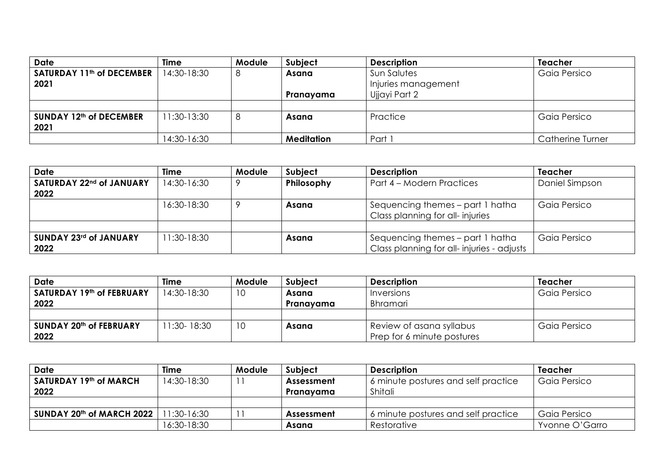| <b>Date</b>                                   | Time         | Module | Subject           | <b>Description</b>                 | <b>Teacher</b>   |
|-----------------------------------------------|--------------|--------|-------------------|------------------------------------|------------------|
| SATURDAY 11 <sup>th</sup> of DECEMBER<br>2021 | 14:30-18:30  | 8      | Asana             | Sun Salutes<br>Injuries management | Gaia Persico     |
|                                               |              |        | Pranayama         | Ujjayi Part 2                      |                  |
|                                               |              |        |                   |                                    |                  |
| SUNDAY 12th of DECEMBER<br>2021               | $1:30-13:30$ | 8      | Asana             | Practice                           | Gaia Persico     |
|                                               | 14:30-16:30  |        | <b>Meditation</b> | Part                               | Catherine Turner |

| <b>Date</b>              | Time        | <b>Module</b> | <b>Subject</b> | <b>Description</b>                                                  | <b>Teacher</b> |
|--------------------------|-------------|---------------|----------------|---------------------------------------------------------------------|----------------|
| SATURDAY 22nd of JANUARY | 14:30-16:30 |               | Philosophy     | Part 4 – Modern Practices                                           | Daniel Simpson |
| 2022                     |             |               |                |                                                                     |                |
|                          | 16:30-18:30 |               | Asana          | Sequencing themes – part 1 hatha<br>Class planning for all-injuries | Gaia Persico   |
|                          |             |               |                |                                                                     |                |
| SUNDAY 23rd of JANUARY   | 11:30-18:30 |               | Asana          | Sequencing themes – part 1 hatha                                    | Gaia Persico   |
| 2022                     |             |               |                | Class planning for all-injuries - adjusts                           |                |

| Date                      | Time           | Module | <b>Subject</b> | <b>Description</b>         | Teacher      |
|---------------------------|----------------|--------|----------------|----------------------------|--------------|
| SATURDAY 19th of FEBRUARY | 14:30-18:30    | 10     | Asana          | Inversions                 | Gaia Persico |
| 2022                      |                |        | Pranavama      | Bhramari                   |              |
|                           |                |        |                |                            |              |
| SUNDAY 20th of FEBRUARY   | $1:30 - 18:30$ | 10     | Asana          | Review of asana syllabus   | Gaia Persico |
| 2022                      |                |        |                | Prep for 6 minute postures |              |

| Date                      | <b>Time</b> | <b>Module</b> | Subject           | <b>Description</b>                  | Teacher        |
|---------------------------|-------------|---------------|-------------------|-------------------------------------|----------------|
| SATURDAY 19th of MARCH    | 14:30-18:30 |               | <b>Assessment</b> | 6 minute postures and self practice | Gaia Persico   |
| 2022                      |             |               | Pranavama         | Shitali                             |                |
|                           |             |               |                   |                                     |                |
| SUNDAY 20th of MARCH 2022 | 1:30-16:30  |               | <b>Assessment</b> | 6 minute postures and self practice | Gaia Persico   |
|                           | 16:30-18:30 |               | Asana             | Restorative                         | Yvonne O'Garro |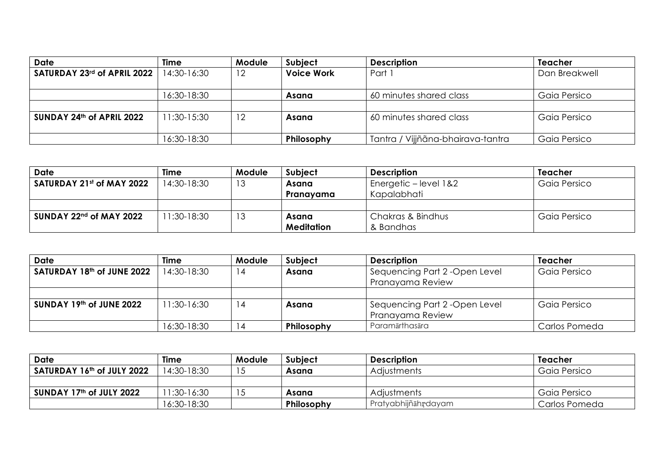| <b>Date</b>                 | Time         | <b>Module</b> | Subject           | <b>Description</b>                | <b>Teacher</b> |
|-----------------------------|--------------|---------------|-------------------|-----------------------------------|----------------|
| SATURDAY 23rd of APRIL 2022 | 14:30-16:30  | 12            | <b>Voice Work</b> | Part 1                            | Dan Breakwell  |
|                             |              |               |                   |                                   |                |
|                             | 16:30-18:30  |               | Asana             | 60 minutes shared class           | Gaia Persico   |
|                             |              |               |                   |                                   |                |
| SUNDAY 24th of APRIL 2022   | $1:30-15:30$ | 12            | Asana             | 60 minutes shared class           | Gaia Persico   |
|                             | 16:30-18:30  |               | Philosophy        | Tantra / Vijjñãna-bhairava-tantra | Gaia Persico   |

| Date                      | Time         | Module | <b>Subject</b>    | <b>Description</b>    | Teacher      |
|---------------------------|--------------|--------|-------------------|-----------------------|--------------|
| SATURDAY 21st of MAY 2022 | 14:30-18:30  | 13     | Asana             | Energetic – level 1&2 | Gaia Persico |
|                           |              |        | Pranavama         | Kapalabhati           |              |
|                           |              |        |                   |                       |              |
| $SUNDAY 22nd$ of MAY 2022 | $1:30-18:30$ | 13     | Asana             | Chakras & Bindhus     | Gaia Persico |
|                           |              |        | <b>Meditation</b> | & Bandhas             |              |

| <b>Date</b>                | Time         | <b>Module</b> | <b>Subject</b> | <b>Description</b>                                 | <b>Teacher</b> |
|----------------------------|--------------|---------------|----------------|----------------------------------------------------|----------------|
| SATURDAY 18th of JUNE 2022 | 14:30-18:30  | 14            | Asana          | Sequencing Part 2 - Open Level<br>Pranayama Review | Gaia Persico   |
|                            |              |               |                |                                                    |                |
| SUNDAY 19th of JUNE 2022   | $1:30-16:30$ | 14            | Asana          | Sequencing Part 2 - Open Level<br>Pranayama Review | Gaia Persico   |
|                            | 16:30-18:30  |               | Philosophy     | Paramārthasāra                                     | Carlos Pomeda  |

| Date                       | Time        | Module | <b>Subject</b> | <b>Description</b>  | Teacher       |
|----------------------------|-------------|--------|----------------|---------------------|---------------|
| SATURDAY 16th of JULY 2022 | 14:30-18:30 |        | Asana          | <b>Adjustments</b>  | Gaia Persico  |
|                            |             |        |                |                     |               |
| SUNDAY 17th of JULY 2022   | 1:30-16:30  |        | Asana          | <b>Adjustments</b>  | Gaia Persico  |
|                            | 16:30-18:30 |        | Philosophy     | Pratyabhijñāhrdayam | Carlos Pomeda |